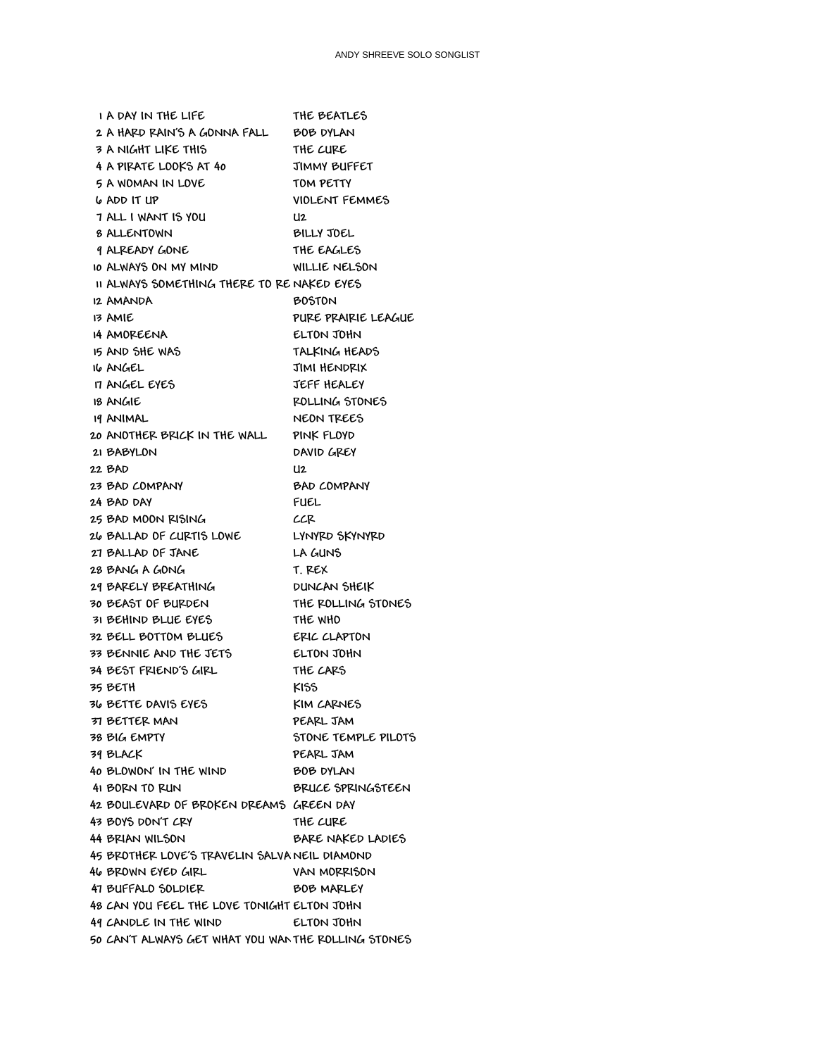| I A DAY IN THE LIFE                                 | THE BEATLES         |
|-----------------------------------------------------|---------------------|
| 2 A HARD RAIN'S A GONNA FALL                        | BOB DYLAN           |
| 3 A NIGHT LIKE THIS                                 | THE CURE            |
| 4 A PIRATE LOOKS AT 40                              | JIMMY BUFFET        |
| 5 A WOMAN IN LOVE                                   | TOM PETTY           |
| 6 ADD IT UP                                         | VIOLENT FEMMES      |
| 7 ALL I WANT IS YOU                                 | U2                  |
| <b>8 ALLENTOWN</b>                                  | BILLY JOEL          |
| 9 ALREADY GONE                                      | THE EAGLES          |
| 10 ALWAYS ON MY MIND                                | WILLIE NELSON       |
| II ALWAYS SOMETHING THERE TO RE NAKED EYES          |                     |
| 12 AMANDA                                           | <b>BOSTON</b>       |
| 13 AMIE                                             | PURE PRAIRIE LEAGUE |
| 14 AMOREENA                                         | ELTON JOHN          |
| 15 AND SHE WAS                                      | TALKING HEADS       |
| 16 ANGEL                                            | JIMI HENDRIX        |
| IT ANGEL EYES                                       | JEFF HEALEY         |
| <b>18 ANGIE</b>                                     | ROLLING STONES      |
| 19 ANIMAL                                           | NEON TREES          |
| 20 ANOTHER BRICK IN THE WALL                        | PINK FLOYD          |
| 21 BABYLON                                          | DAVID GREY          |
| 22 BAD                                              | U2                  |
| 23 BAD COMPANY                                      | BAD COMPANY         |
| 24 BAD DAY                                          | FUEL                |
| 25 BAD MOON RISING                                  | CCR                 |
| 26 BALLAD OF CURTIS LOWE                            | LYNYRD SKYNYRD      |
| 27 BALLAD OF JANE                                   | LA GUNS             |
| 28 BANG A GONG                                      | T. REX              |
| 29 BARELY BREATHING                                 | DUNCAN SHEIK        |
| 30 BEAST OF BURDEN                                  | THE ROLLING STONES  |
| 31 BEHIND BLUE EYES                                 | THE WHO             |
| 32 BELL BOTTOM BLUES                                | ERIC CLAPTON        |
| 33 BENNIE AND THE JETS                              | ELTON JOHN          |
| 34 BEST FRIEND'S GIRL                               | THE CARS            |
| 35 BETH                                             | KISS                |
| 36 BETTE DAVIS EYES                                 | KIM CARNES          |
| 37 BETTER MAN                                       | PEARL JAM           |
| 38 BIG EMPTY                                        | STONE TEMPLE PILOTS |
| 39 BLACK                                            | PEARL JAM           |
| 40 BLOWON' IN THE WIND                              | BOB DYLAN           |
| 41 BORN TO RUN                                      | BRUCE SPRINGSTEEN   |
| 42 BOULEVARD OF BROKEN DREAMS GREEN DAY             |                     |
| 43 BOYS DON'T CRY                                   | THE CURE            |
| 44 BRIAN WILSON                                     | BARE NAKED LADIES   |
| 45 BROTHER LOVE'S TRAVELIN SALVA NEIL DIAMOND       |                     |
| 46 BROWN EYED GIRL                                  | VAN MORRISON        |
| 47 BUFFALO SOLDIER                                  | BOB MARLEY          |
| 48 CAN YOU FEEL THE LOVE TONIGHT ELTON JOHN         |                     |
| 49 CANDLE IN THE WIND                               | ELTON JOHN          |
| 50 CAN'T ALWAYS GET WHAT YOU WAN THE ROLLING STONES |                     |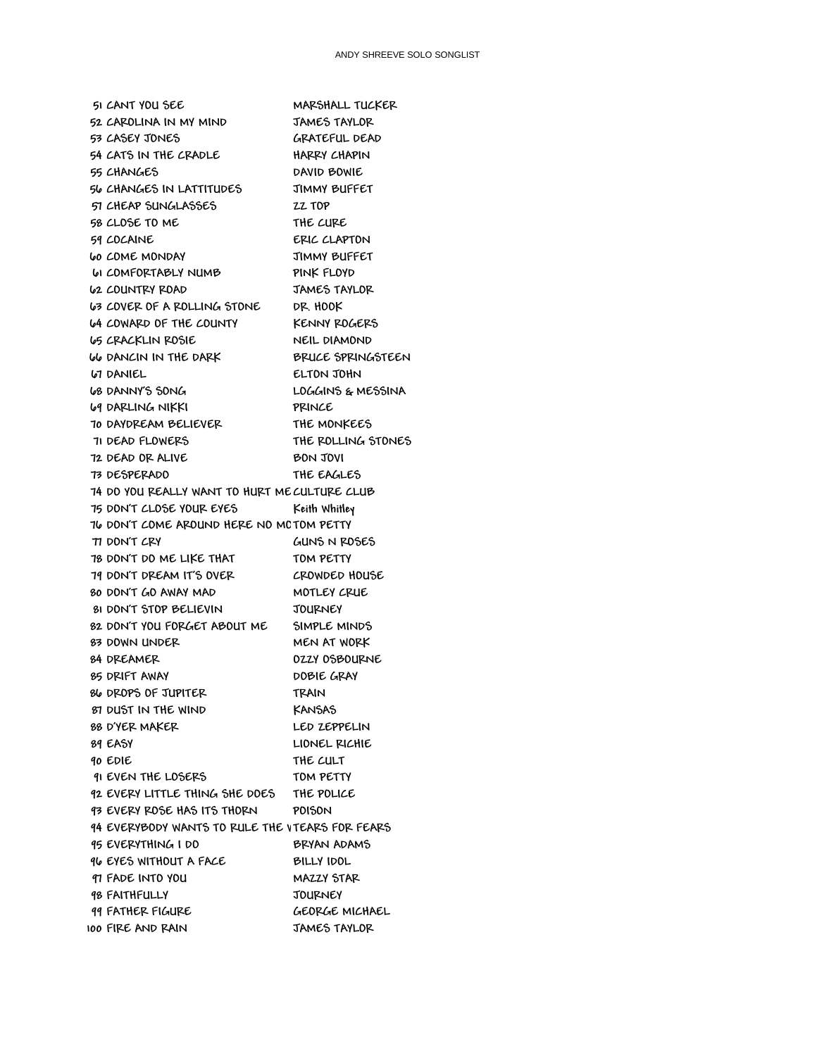| 51 CANT YOU SEE                                 | MARSHALL TUCKER      |
|-------------------------------------------------|----------------------|
| 52 CAROLINA IN MY MIND                          | JAMES TAYLOR         |
| 53 CASEY JONES                                  | GRATEFUL DEAD        |
| 54 CATS IN THE CRADLE                           | HARRY CHAPIN         |
| 55 CHANGES                                      | DAVID BOWIE          |
| 56 CHANGES IN LATTITUDES                        | JIMMY BUFFET         |
| 57 CHEAP SUNGLASSES                             | ZZ TOP               |
| 58 CLOSE TO ME                                  | THE CURE             |
| 59 COCAINE                                      | ERIC CLAPTON         |
| <b>60 COME MONDAY</b>                           | JIMMY BUFFET         |
| <b><i>LI COMFORTABLY NUMB</i></b>               | PINK FLOYD           |
| 62 COUNTRY ROAD                                 | JAMES TAYLOR         |
| 63 COVER OF A ROLLING STONE                     | DR. HOOK             |
| 64 COWARD OF THE COUNTY                         | KENNY ROGERS         |
| 65 CRACKLIN ROSIE                               | NEIL DIAMOND         |
| 66 DANCIN IN THE DARK                           | BRUCE SPRINGSTEEN    |
| <b>LO DANIEL</b>                                | ELTON JOHN           |
| 68 DANNY'S SONG                                 | LOGGINS & MESSINA    |
| 69 DARLING NIKKI                                | PRINCE               |
| 70 DAYDREAM BELIEVER                            | THE MONKEES          |
| 71 DEAD FLOWERS                                 | THE ROLLING STONES   |
| 72 DEAD OR ALIVE                                | BON JOVI             |
| 73 DESPERADO                                    | THE EAGLES           |
| 74 DO YOU REALLY WANT TO HURT ME CULTURE CLUB   |                      |
| 75 DON'T CLOSE YOUR EYES                        | Keith Whitley        |
| 76 DON'T COME AROUND HERE NO MCTOM PETTY        |                      |
| TI DON'T CRY                                    | GUNS N ROSES         |
| 78 DON'T DO ME LIKE THAT                        | TOM PETTY            |
| 79 DON'T DREAM IT'S OVER                        | CROWDED HOUSE        |
| 80 DON'T GO AWAY MAD                            | MOTLEY CRUE          |
| <b>81 DON'T STOP BELIEVIN</b>                   | JOURNEY              |
| 82 DON'T YOU FORGET ABOUT ME                    | SIMPLE MINDS         |
| 83 DOWN UNDER                                   | MEN AT WORK          |
| 84 DREAMER                                      | <b>OZZY OSBOURNE</b> |
| 85 DRIFT AWAY                                   | DOBIE GRAY           |
| 86 DROPS OF JUPITER                             | <b>TRAIN</b>         |
| 87 DUST IN THE WIND                             | KANSAS               |
| 88 D'YER MAKER                                  | LED ZEPPELIN         |
| 89 EASY                                         | LIONEL RICHIE        |
| 90 EDIE                                         | THE CULT             |
| 91 EVEN THE LOSERS                              | TOM PETTY            |
| 92 EVERY LITTLE THING SHE DOES                  | THE POLICE           |
| 93 EVERY ROSE HAS ITS THORN                     | POISON               |
| 94 EVERYBODY WANTS TO RULE THE VTEARS FOR FEARS |                      |
| 95 EVERYTHING I DO                              | BRYAN ADAMS          |
| 96 EYES WITHOUT A FACE                          | BILLY IDOL           |
| 97 FADE INTO YOU                                | MAZZY STAR           |
| 98 FAITHFULLY                                   | JOURNEY              |
| 99 FATHER FIGURE                                | GEORGE MICHAEL       |
| 100 FIRE AND RAIN                               | JAMES TAYLOR         |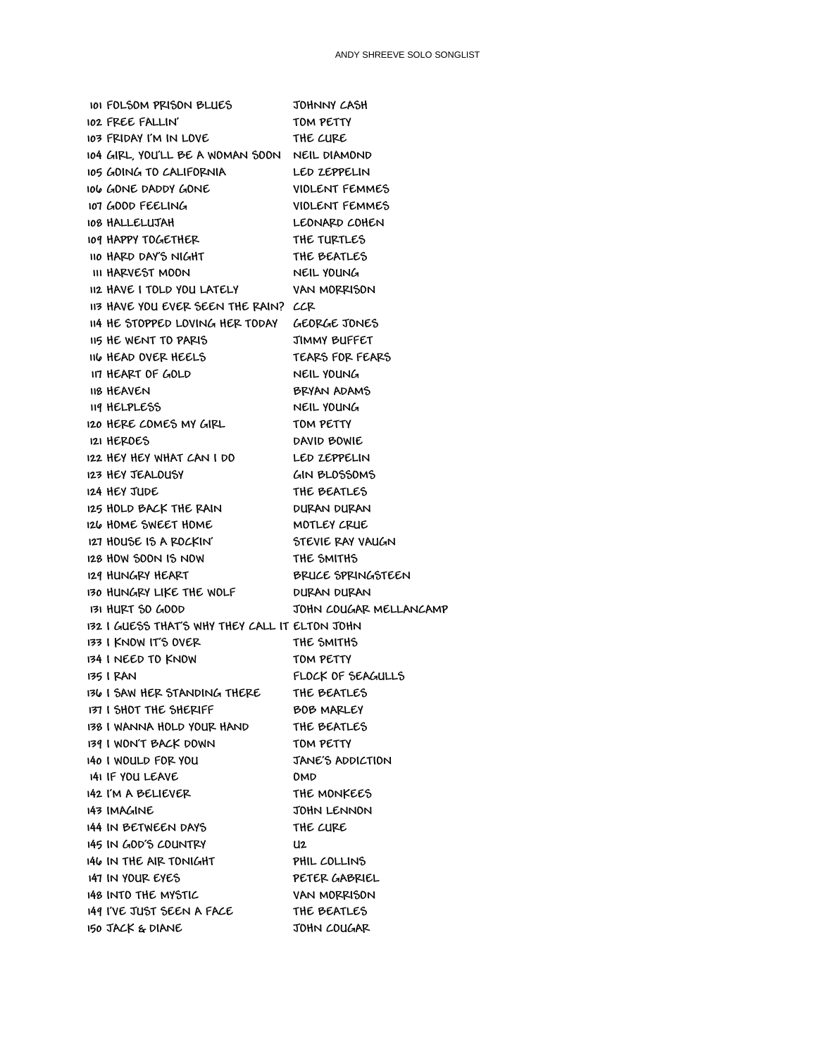| 101 FOLSOM PRISON BLUES                        | JOHNNY CASH            |
|------------------------------------------------|------------------------|
| 102 FREE FALLIN'                               | TOM PETTY              |
| 103 FRIDAY I'M IN LOVE                         | THE CURE               |
| 104 GIRL, YOU'LL BE A WOMAN SOON NEIL DIAMOND  |                        |
| 105 GOING TO CALIFORNIA                        | LED ZEPPELIN           |
| 106 GONE DADDY GONE                            | VIOLENT FEMMES         |
| 107 GOOD FEELING                               | VIOLENT FEMMES         |
| 108 HALLELUJAH                                 | LEONARD COHEN          |
| 109 HAPPY TOGETHER                             | THE TURTLES            |
| 110 HARD DAY'S NIGHT                           | THE BEATLES            |
| <b>III HARVEST MOON</b>                        | NEIL YOUNG             |
| 112 HAVE I TOLD YOU LATELY                     | <b>VAN MORRISON</b>    |
| 113 HAVE YOU EVER SEEN THE RAIN? CCR           |                        |
| 114 HE STOPPED LOVING HER TODAY GEORGE JONES   |                        |
| 115 HE WENT TO PARIS                           | JIMMY BUFFET           |
| 116 HEAD OVER HEELS                            | TEARS FOR FEARS        |
| 117 HEART OF GOLD                              | NEIL YOUNG             |
| <b>118 HEAVEN</b>                              | BRYAN ADAMS            |
| <b>119 HELPLESS</b>                            | NEIL YOUNG             |
| 120 HERE COMES MY GIRL                         | TOM PETTY              |
| 121 HEROES                                     | DAVID BOWIE            |
| 122 HEY HEY WHAT CAN I DO                      | LED ZEPPELIN           |
| 123 HEY JEALOUSY                               | GIN BLOSSOMS           |
| 124 HEY JUDE                                   | THE BEATLES            |
| 125 HOLD BACK THE RAIN                         | DURAN DURAN            |
| 126 HOME SWEET HOME                            | MOTLEY CRUE            |
| 127 HOUSE IS A ROCKIN'                         | STEVIE RAY VAUGN       |
| 128 HOW SOON IS NOW                            | THE SMITHS             |
| 129 HUNGRY HEART                               | BRUCE SPRINGSTEEN      |
| 130 HUNGRY LIKE THE WOLF                       | DURAN DURAN            |
| 131 HURT SO GOOD                               | JOHN COUGAR MELLANCAMP |
| 132 I GUESS THAT'S WHY THEY CALL IT ELTON JOHN |                        |
| 133 I KNOW IT'S OVER                           | THE SMITHS             |
| 134 I NEED TO KNOW                             | TOM PETTY              |
| 135 I RAN                                      | FLOCK OF SEAGULLS      |
| 136 I SAW HER STANDING THERE                   | THE BEATLES            |
| 137 I SHOT THE SHERIFF                         | BOB MARLEY             |
| 138 I WANNA HOLD YOUR HAND                     | THE BEATLES            |
| 139 I WON'T BACK DOWN                          | TOM PETTY              |
| 140 I WOULD FOR YOU                            | JANE'S ADDICTION       |
| 141 IF YOU LEAVE                               | 0MD                    |
| 142 I'M A BELIEVER                             | THE MONKEES            |
| 143 IMAGINE                                    | JOHN LENNON            |
| 144 IN BETWEEN DAYS                            | THE CURE               |
| 145 IN GOD'S COUNTRY                           | U2                     |
| 146 IN THE AIR TONIGHT                         | PHIL COLLINS           |
| 147 IN YOUR EYES                               | PETER GABRIEL          |
| 148 INTO THE MYSTIC                            | VAN MORRISON           |
| 149 I'VE JUST SEEN A FACE                      | THE BEATLES            |
| 150 JACK & DIANE                               | JOHN COUGAR            |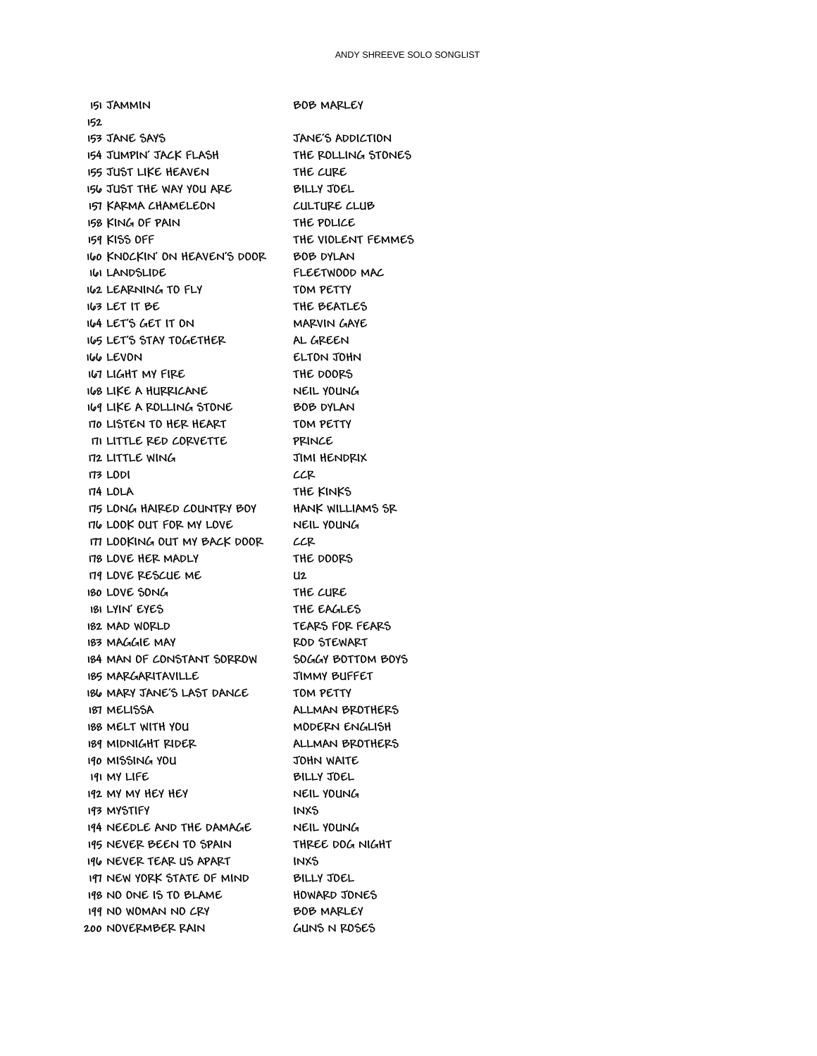| <b>151 JAMMIN</b>              | BOB MARLEY           |
|--------------------------------|----------------------|
| 152                            |                      |
| 153 JANE SAYS                  | JANE'S ADDICTI       |
| 154 JUMPIN' JACK FLASH         | THE ROLLING S        |
| 155 JUST LIKE HEAVEN           | THE CURE             |
| 156 JUST THE WAY YOU ARE       | BILLY JOEL           |
| 157 KARMA CHAMELEON            | CULTURE CLUB         |
| <b>158 KING OF PAIN</b>        | THE POLICE           |
| <b>159 KISS OFF</b>            | THE VIOLENT FE       |
| 160 KNOCKIN' ON HEAVEN'S DOOR  | BOB DYLAN            |
| <b>IGI LANDSLIDE</b>           | FLEETWOOD MA         |
| 162 LEARNING TO FLY            | TOM PETTY            |
| 163 LET IT BE                  | THE BEATLES          |
| 164 LET'S GET IT ON            | MARVIN GAYE          |
| <b>IGS LET'S STAY TOGETHER</b> | AL GREEN             |
| 166 LEVON                      | ELTON JOHN           |
| IGT LIGHT MY FIRE              | THE DOORS            |
| 168 LIKE A HURRICANE           | NEIL YOUNG           |
| 169 LIKE A ROLLING STONE       | BOB DYLAN            |
| 170 LISTEN TO HER HEART        | TOM PETTY            |
| ITI LITTLE RED CORVETTE        | PRINCE               |
| 172 LITTLE WING                | JIMI HENDRIX         |
| 173 LODI                       | CCR                  |
| 174 LOLA                       | THE KINKS            |
| 175 LONG HAIRED COUNTRY BOY    | <b>HANK WILLIAMS</b> |
| 176 LOOK OUT FOR MY LOVE       | NEIL YOUNG           |
| ITI LOOKING OUT MY BACK DOOR   | CCR                  |
| 178 LOVE HER MADLY             | THE DOORS            |
| 179 LOVE RESCUE ME             | U2                   |
| 180 LOVE SONG                  | THE CURE             |
| <b>181 LYIN' EYES</b>          | THE EAGLES           |
| 182 MAD WORLD                  | TEARS FOR FEA        |
| 183 MAGGIE MAY                 | ROD STEWART          |
| 184 MAN OF CONSTANT SORROW     | SOGGY BOTTOM         |
| 185 MARGARITAVILLE             | JIMMY BUFFET         |
| 186 MARY JANE'S LAST DANCE     | TOM PETTY            |
| 187 MELISSA                    | ALLMAN BROTH         |
| 188 MELT WITH YOU              | MODERN ENGLI         |
| 189 MIDNIGHT RIDER             | ALLMAN BROTH         |
| 190 MISSING YOU                | JOHN WAITE           |
| 191 MY LIFE                    | BILLY JOEL           |
| 192 MY MY HEY HEY              | NEIL YOUNG           |
| 193 MYSTIFY                    | INXS                 |
| 194 NEEDLE AND THE DAMAGE      | NEIL YOUNG           |
| 195 NEVER BEEN TO SPAIN        | THREE DOG NIG        |
| 196 NEVER TEAR US APART        | INXS                 |
| 197 NEW YORK STATE OF MIND     | BILLY JOEL           |
| 198 NO ONE IS TO BLAME         | HOWARD JONES         |
| 199 ND WOMAN NO CRY            | BOB MARLEY           |
| 200 NOVERMBER RAIN             | GUNS N ROSES         |

 **JANE SAYS JANE'S ADDICTION JUMPIN' JACK FLASH THE ROLLING STONES KARMA CHAMELEON CULTURE CLUB KISS OFF THE VIOLENT FEMMES LANDSLIDE FLEETWOOD MAC LET IT BE THE BEATLES LET'S GET IT ON MARVIN GAYE**  $I$ **NDRIX LONG HAIRED COUNTRY BOY HANK WILLIAMS SR**  $FOR$  FEARS **MAGGIE MAY ROD STEWART MAN OF CONSTANT SORROW SOGGY BOTTOM BOYS**  $B$ **UFFET MELISSA ALLMAN BROTHERS MELT WITH YOU MODERN ENGLISH MIDNIGHT RIDER ALLMAN BROTHERS NEVER BEEN TO SPAIN THREE DOG NIGHT NO ONE IS TO BLAME HOWARD JONES**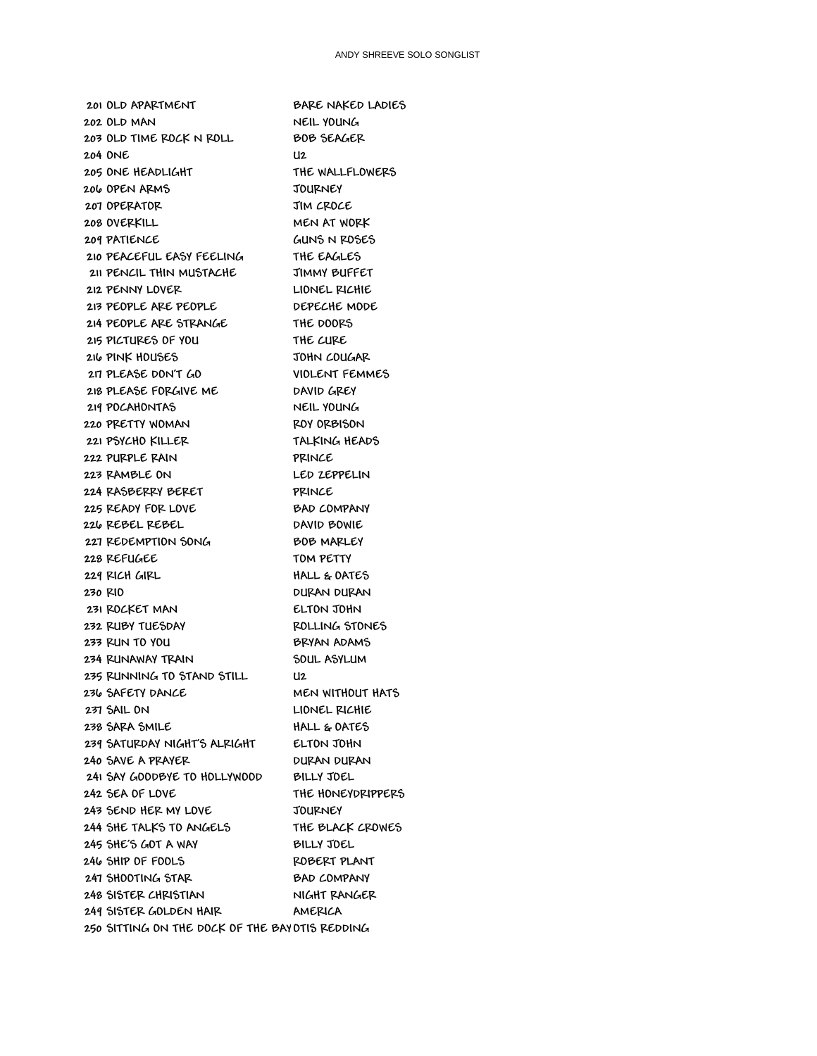**OLD APARTMENT BARE NAKED LADIES OLD MAN NEIL YOUNG OLD TIME ROCK N ROLL BOB SEAGER ONE U2 ONE HEADLIGHT THE WALLFLOWERS OPEN ARMS JOURNEY OPERATOR JIM CROCE OVERKILL MEN AT WORK PATIENCE GUNS N ROSES PEACEFUL EASY FEELING THE EAGLES PENCIL THIN MUSTACHE JIMMY BUFFET PENNY LOVER LIONEL RICHIE PEOPLE ARE PEOPLE DEPECHE MODE PEOPLE ARE STRANGE THE DOORS PICTURES OF YOU THE CURE PINK HOUSES JOHN COUGAR PLEASE DON'T GO VIOLENT FEMMES PLEASE FORGIVE ME DAVID GREY POCAHONTAS NEIL YOUNG PRETTY WOMAN ROY ORBISON PSYCHO KILLER TALKING HEADS PURPLE RAIN PRINCE RAMBLE ON LED ZEPPELIN RASBERRY BERET PRINCE READY FOR LOVE BAD COMPANY REBEL REBEL DAVID BOWIE REDEMPTION SONG BOB MARLEY REFUGEE TOM PETTY RICH GIRL HALL & OATES RIO DURAN DURAN ROCKET MAN ELTON JOHN RUBY TUESDAY ROLLING STONES RUN TO YOU BRYAN ADAMS RUNAWAY TRAIN SOUL ASYLUM RUNNING TO STAND STILL U2 SAFETY DANCE MEN WITHOUT HATS SAIL ON LIONEL RICHIE SARA SMILE HALL & OATES SATURDAY NIGHT'S ALRIGHT ELTON JOHN SAVE A PRAYER DURAN DURAN SAY GOODBYE TO HOLLYWOOD BILLY JOEL SEA OF LOVE THE HONEYDRIPPERS SEND HER MY LOVE JOURNEY SHE TALKS TO ANGELS THE BLACK CROWES SHE'S GOT A WAY BILLY JOEL SHIP OF FOOLS ROBERT PLANT SHOOTING STAR BAD COMPANY SISTER CHRISTIAN NIGHT RANGER SISTER GOLDEN HAIR AMERICA SITTING ON THE DOCK OF THE BAYOTIS REDDING**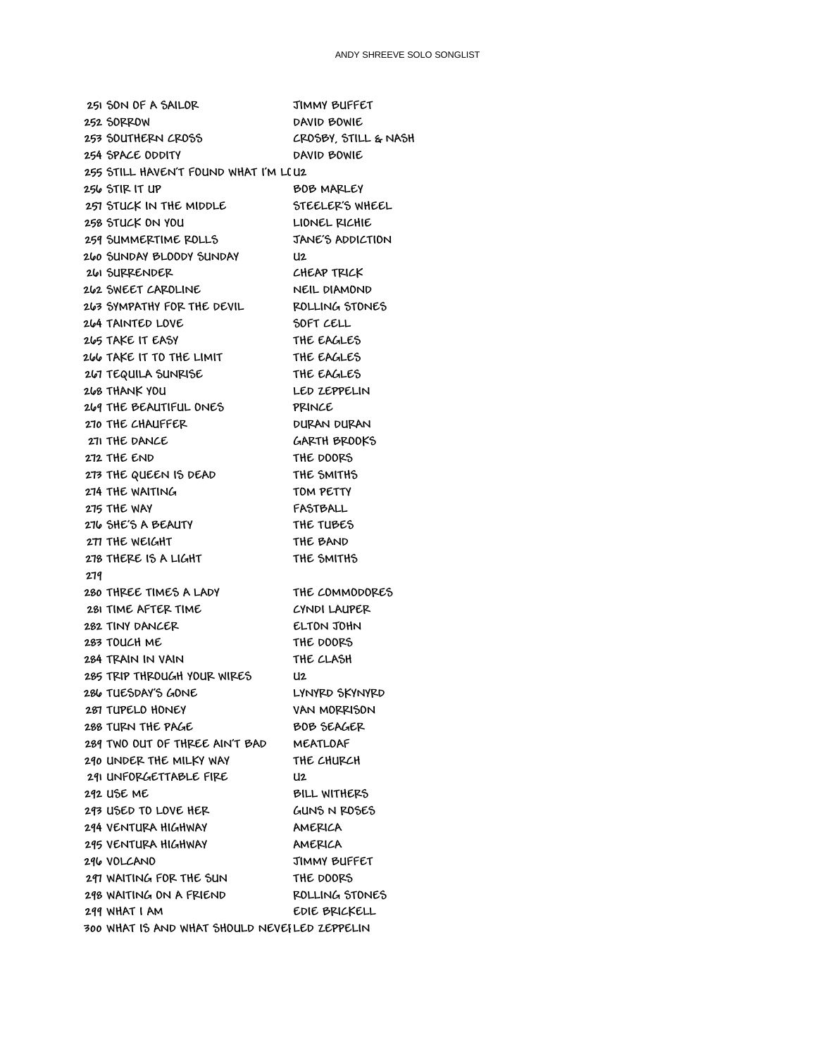|     | 251 SON OF A SAILOR                           | JIMMY BUFFET         |
|-----|-----------------------------------------------|----------------------|
|     | 252 SORROW                                    | DAVID BOWIE          |
|     | 253 SOUTHERN CROSS                            | CROSBY, STILL & NASH |
|     | 254 SPACE ODDITY                              | DAVID BOWIE          |
|     | 255 STILL HAVEN'T FOUND WHAT I'M LI U2        |                      |
|     | 256 STIR IT UP                                | BOB MARLEY           |
|     | 257 STUCK IN THE MIDDLE                       | STEELER'S WHEEL      |
|     | 258 STUCK ON YOU                              | LIONEL RICHIE        |
|     | 259 SUMMERTIME ROLLS                          | JANE'S ADDICTION     |
|     | 260 SUNDAY BLOODY SUNDAY                      | U2                   |
|     | 261 SURRENDER                                 | CHEAP TRICK          |
|     | 262 SWEET CAROLINE                            | NEIL DIAMOND         |
|     | 263 SYMPATHY FOR THE DEVIL                    | ROLLING STONES       |
|     | 264 TAINTED LOVE                              | SOFT CELL            |
|     | 265 TAKE IT EASY                              | THE EAGLES           |
|     | 266 TAKE IT TO THE LIMIT                      | THE EAGLES           |
|     | 267 TEQUILA SUNRISE                           | THE EAGLES           |
|     | 268 THANK YOU                                 | LED ZEPPELIN         |
|     | 269 THE BEAUTIFUL ONES                        | PRINCE               |
|     | 270 THE CHAUFFER                              | DURAN DURAN          |
|     | 271 THE DANCE                                 | GARTH BROOKS         |
|     | 272 THE END                                   | THE DOORS            |
|     | 273 THE QUEEN IS DEAD                         | THE SMITHS           |
|     | 274 THE WAITING                               | TOM PETTY            |
|     | 275 THE WAY                                   | FASTBALL             |
|     | 276 SHE'S A BEAUTY                            | THE TUBES            |
|     | 277 THE WEIGHT                                | THE BAND             |
|     | 278 THERE IS A LIGHT                          | THE SMITHS           |
| 279 |                                               |                      |
|     | 280 THREE TIMES A LADY                        | THE COMMODORES       |
|     | 281 TIME AFTER TIME                           | CYNDI LAUPER         |
|     | 282 TINY DANCER                               | ELTON JOHN           |
|     | 283 TOUCH ME                                  | THE DOORS            |
|     | 284 TRAIN IN VAIN                             | THE CLASH            |
|     | 285 TRIP THROUGH YOUR WIRES                   | U2                   |
|     | 286 TUESDAY'S GONE                            | LYNYRD SKYNYRD       |
|     | 287 TUPELO HONEY                              | VAN MORRISON         |
|     | 288 TURN THE PAGE                             | BOB SEAGER           |
|     | 289 TWO OUT OF THREE AIN'T BAD                | MEATLOAF             |
|     | 290 UNDER THE MILKY WAY                       | THE CHURCH           |
|     | 291 UNFORGETTABLE FIRE                        | U <sub>2</sub>       |
|     | 292 USE ME                                    | BILL WITHERS         |
|     | 293 USED TO LOVE HER                          | GUNS N ROSES         |
|     | 294 VENTURA HIGHWAY                           | AMERICA              |
|     | 295 VENTURA HIGHWAY                           | AMERICA              |
|     | 296 VOLCANO                                   | JIMMY BUFFET         |
|     | 297 WAITING FOR THE SUN                       | THE DOORS            |
|     | 298 WAITING ON A FRIEND                       | ROLLING STONES       |
|     | 299 WHAT I AM                                 | EDIE BRICKELL        |
|     | 300 WHAT IS AND WHAT SHOULD NEVEILED ZEPPELIN |                      |